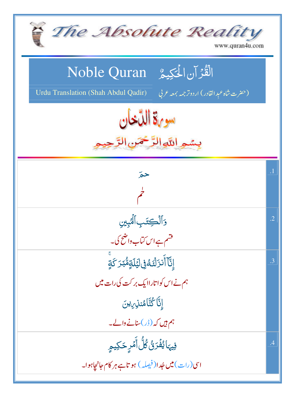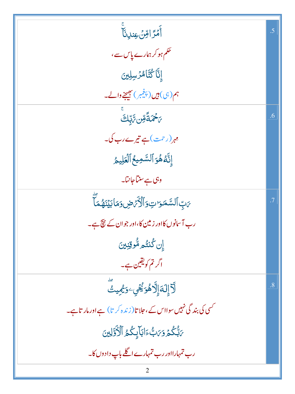| ٵٞ<br>ۿڗٳڡ <i>ؚڹ</i> ؏ڹڔڹؘٵۧ                                      | .5        |
|-------------------------------------------------------------------|-----------|
| تھم ہو کر ہمارے پاس سے،                                           |           |
| إِنَّا كُتَّامُرُسِلِينَ                                          |           |
| ہم(ہی) ہیں(پنجمبر) بھیجنے والے۔                                   |           |
| <i>؆ڿٛػ</i> ڦؘۊڹ؆ڸۜ <sup>ڸڡ</sup> ٙ                               | .6        |
| مہ <sub>ر</sub> (رحمت)ہے تیرے رب کی۔                              |           |
| إِنَّهُ هُوَ ٱلسَّمِيعُ ٱلۡعَلِيمُ                                |           |
| وہی ہے سنتاجانتا۔                                                 |           |
| ؆ٮؚؚۨٵؖڶۺۜڡؘٷٮؾؚۅؘٲڷۘۯۘٚ؆ۻ؋ػٵڹؽؘڹؘۿؙؚڡؘٵؖ                         | $\cdot$ 7 |
| رب آسانوں کااور زمین کا،اور جوان کے نتیجے۔                        |           |
| <u>إن كُنتُم مُّوقِنِينَ</u>                                      |           |
| اگرتم کویقین ہے۔                                                  |           |
| ڷٳٳڶڎٳٳڷۯۿۏڲ۬ؾؙؚٷڲڡؚؠٮؾٛ                                          | .8        |
| محسی کی بند گی نہیں سوااس کے ،حلا تا(زندہ کر تا) ہے اور مار تاہے۔ |           |
| بَابُّكُمُ وَبَنِّ ءَابَابِكُمُ ٱلْأَوَّلِينَ                     |           |
| رب تمہارااور رب تمہارے اگلے باپ دادوں کا۔                         |           |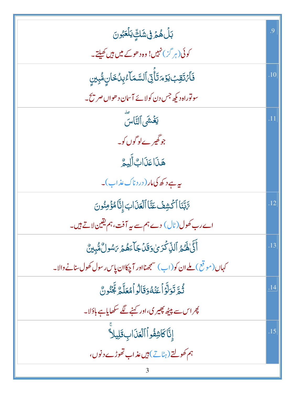| <b>بَلۡ هُمۡ فِى شَكِّ يَلۡعَبُونَ</b>                                      | .9  |
|-----------------------------------------------------------------------------|-----|
| کوئی(ہر گز) نہیں! وہ د ھوکے میں ہیں کھیلتے۔                                 |     |
| فَأَمَتَقِبَ يَوْمَتَأَتِيَ ٱلسَّمَآءُبِيُّخَانِ مُّبِينِ                   | .10 |
| سونوراہ دیکھ جس دن کولائے آسان دھواں صریح۔                                  |     |
| يَخۡشَى ٱلتَّاسَ                                                            | .11 |
| جو گھیر ےلو گوں کو۔                                                         |     |
| هَذَاعَذَابٌ أَلِيمٌ                                                        |     |
| ىيە ہے د كھ كى مار ( در د ناك عذاب )۔                                       |     |
| تَّابَّنَا ٱكۡشِفۡ عَنَّا ٱلۡعَذَابَ إِنَّاۡ مُؤۡمِنُونَ                    | .12 |
| اے رب کھول(ٹال) دے ہم سے یہ آفت، ہم یقین لاتے ہیں۔                          |     |
| آَنَّىٰ لَهُ مُ ٱللَّ كَرَىٰ وَقَلۡ جَآءَهُمۡ مَسُولٌ مُّبِينٌ              | .13 |
| کہاں (موقع) <b>ملے ان کو (اب) سمجھنااور آچکاان پاس رسول کھول سانے والا۔</b> |     |
| ثُمَّ تَوَلَّوۡاۡعَنۡهُوَقَالُواۡمُعَلَّمَّ لَجُّنُونَّ                     | .14 |
| پھر اس سے پیٹھ پھیر کی،اور کہنے لگے سکھایاہے باؤلا۔                         |     |
| إِنَّا كَاشِفُواْ الْعَذَابِ قَلِيلاً                                       | .15 |
| ہم کھولتے (ہٹاتے) ہیں عذاب تھوڑے دنوں،                                      |     |
|                                                                             |     |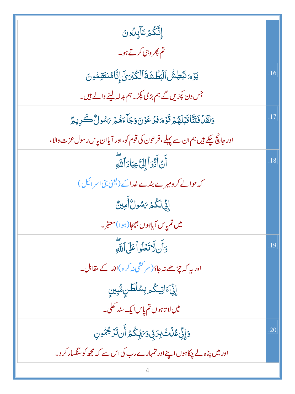| إِنَّكُمُ عَآيِلُونَ                                                         |     |
|------------------------------------------------------------------------------|-----|
| تم پھر وہی کرتے ہو۔                                                          |     |
| يَوۡمَ نَبۡطِشُ ٱلۡبَطَٰشَةَ ٱلۡكُبۡرَىٰۤ إِنَّامُنتَقِمُونَ                 | .16 |
| جس دن پکڑیں گے ہم بڑی پکڑ۔ہم بدلہ لینے والے ہیں۔                             |     |
| وَلَقَّلْ فَتَنَّا قَبْلَهُمْ قَوْمَ فِرْعَوْنَ وَجَاءَهُمْ يَسُولُ كَرِيمٌ  | .17 |
| اور جانچ چکے ہیں ہم ان سے پہلے، فرعون کی قوم کو،اور آیاان پاس رسول عزت والا، |     |
| ِ<br>أَنَ أَذْوَاً إِلَىٰٓ عِبَادَ ٱللَّهِ                                   | .18 |
| کہ حوالے کرومیرے بندے خداکے (یعنی بنی اسرائیل)                               |     |
| ٳۣڹۣۨٙڶػۢۮ؆ۺۅڵٞٲؘڢؾۨ۠                                                        |     |
| میں تم پاس آیاہوں بھیجا(ہوا)معتبر۔                                           |     |
| وَأَن لَاتَعُلُواْعَلَى ٱللَّهِ                                              | 19  |
| اور پہ کہ چڑھے نہ جاؤ( سرکشی نہ کر و)اللہ کے مقابل۔                          |     |
| ٳۣڋؘۣٚٵؾؠػ۠ڡڔؠۺڷڟڹۣۺ۠ؠۣڹڹۣ                                                   |     |
| میں لا تاہوں تم پ <u>ا</u> س ایک سند کھلی۔                                   |     |
| <i>ۮ</i> ٳڋۣٚڠۮ۬ۘٮ۠۠ڹڒڋڸ؋؆ڹؚۜػ۠ۿ۩ؘ۠ڹڷڗڋۿۅڹ                                   | .20 |
| اور میں پناہ لے چکاہوں اپنے اور تمہارے رب کی اس سے کہ مجھ کو سنگسار کر و۔    |     |
|                                                                              |     |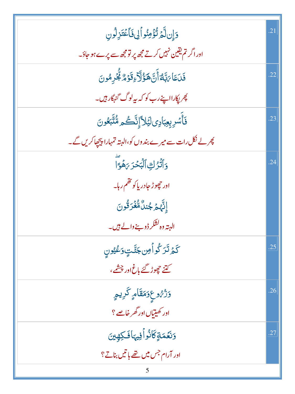| دَإِن لَّمَ تُؤْمِنُواْلِى فَأَعْتَزِلُونِ                              | .21 |
|-------------------------------------------------------------------------|-----|
| اور اگر تم یقین نہیں کرتے مجھ پر تو مجھ سے پرے ہو جاؤ۔                  |     |
| فَلَعَا <i>ٰ مَ</i> بَّلَّ <i>ۃٌ</i> أَنَّ هَؤُلَاۤءِقَوۡمُ لَّٰٓ مُونَ | .22 |
| چر <sub>ل</sub> کارااپنے رب کو کہ بیہ لوگ گنہگار ہیں۔                   |     |
| فَأْسُرِبِعِبَادِيلَيَلاًإِنَّكُم مُّتَّبَعُونَ                         | .23 |
| پھر لے نکل رات سے میرے بند وں کو،البتہ تمہارا پیچھاکریں گے۔             |     |
| وَٱتَّرُكِ ٱلۡبَحۡرَ مَهُوَّآ                                           | .24 |
| اور حچوڑ جادر پاکو تقم رہا۔                                             |     |
| ٳڹؓۿؽٙڿٛڹڷۨڡؓۼ۬ڗٙػۛۏڹؘ                                                  |     |
| البتہ وہ <sup>ا</sup> شکر ڈو بنے والے ہیں۔                              |     |
| ػٙؽٙ <i>ڎٙڒ</i> ػٛۅٲ۫ڡؚڽۜڿ <i>ڐ</i> ٙؾٟۥ <i>ڗ</i> ڠؽۨ۠ۅڹ                | .25 |
| کتنے حچ <i>وڑ گئے</i> باغ اور چشمے ،                                    |     |
| وَرُّهُوعٍوَمَقَامٍ كَرِيمٍ                                             | .26 |
| اور کھیتیاں اور گھر خاصے ؟                                              |     |
| دَنَعَمَةٍكَانُواًفِيهَافَكِهِينَ                                       | .27 |
| اور آرام جس میں تھے باتیں بناتے؟                                        |     |
|                                                                         |     |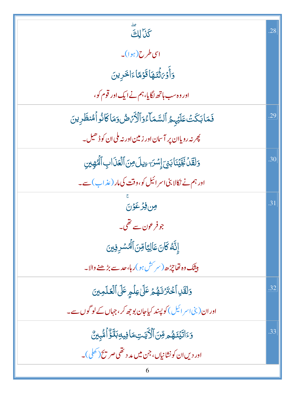| ىد<br>كَذَا لِكَ                                                          | .28 |
|---------------------------------------------------------------------------|-----|
| اسی طرح(ہوا)۔                                                             |     |
| <u>وَأَوْيَ ثَنَمَ</u> هَا قَوْهًا ءَاخَرِينَ                             |     |
| اور وہ سب ہاتھ لگایا، ہم نے ایک اور قوم کو،                               |     |
| فَمَابَكَتْ عَلَيْهِمُ ٱلسَّمَاءُوَٱلْأَرْضُ وَمَاكَانُواْ مُنظَرِينَ     | .29 |
| چر نه رویاان پر آسان اور زمین اور نه ملی ان کوڈ ھیل۔<br>*                 |     |
| وَلَقَلْ نَجَّيۡنَا بَنِيَ إِسۡرَ ۖ ءِيلَ مِنَ ٱلۡعَٰزَابِ ٱلۡهِيِنِ      | .30 |
| اور ہم نے نکالا بنی اسر ائیل کو،وقت کی مار (عذاب) سے۔                     |     |
| ون فِرْعَوْنَ                                                             | .31 |
| جو فرعون سے تھی۔                                                          |     |
| إِنَّهُ كَانَ عَالِيًا مِّنَ ٱلْمُسْرِفِينَ                               |     |
| <b>بيتَك ده تَمَاجِرُّ حد</b> (سر <sup>كش</sup> ہو)ر ہا،حد سے بڑھنے والا۔ |     |
| وَلَقَلِ ٱخْتَزَنَهُمْ عَلَىٰ عِلْمِ عَلَى ٱلْعَلَمِينَ                   | .32 |
| اور ان( بنی اسر ائیل ) کو پسند کیاجان بو جھ کر ، جہاں کے لو گوں سے۔       |     |
| <u>و</u> َءَاتَيۡنَـۡهُمۡ مِّنَ ٱلۡأَيَّـٰٓتِمَافِيهِبَلَّؤُ ٱمُّبِينٌ    | .33 |
| اور دیں ان کونشانیاں، جن میں مد د تھی صر سخ (کھلی)۔                       |     |
| 6                                                                         |     |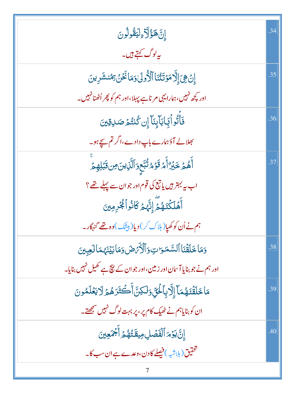| إِنَّكَؤُلَاءِلِيَقُولُونَ                                                                       | .34 |
|--------------------------------------------------------------------------------------------------|-----|
| ىيەلوگ كېتے ہيں۔                                                                                 |     |
| إِنۡ هِىَ إِلَّا مَوۡتَتُنَاۚ ٱلۡأُولَىٰۚ وَمَا نَحۡنُ مِمْنشَرِينَ                              | .35 |
| اور پچھ نہیں،ہمارایہی مرناہے پہلا،اور ہم کو پھر اُٹھنانہیں۔                                      |     |
| فَأَتُواۡئِمَاہَاۡإِیۡنَآۤ إِن کُنتُمۡ صَلاِقِینَ                                                | .36 |
| بھلالے آؤہمارے باپ دادے،اگر تم س <u>یح</u> ہو۔                                                   |     |
| ٲۜۿ۠ <sub>ڞٙ</sub> ڂؘؽ <sup>ۣ</sup> ۠ۯٵؘۧ <i>ۿ</i> ڐؘۏٙۿ <sup>ڷ</sup> ؾۜۜٙۼۅؘٲڷؘۜڸ۬ؾڽؘۻڠڹٙڶؚۿؚؽۨ | .37 |
| اب یہ بہتر ہیں یا تبع کی قوم اور جو ان سے پہلے تھے ؟                                             |     |
| ؚ<br>ٲ <b>ۿؘڶڬۘٮٞۿ</b> ٛؽٙؖٳؚڹؓۿؽٙػٲڎ۠ۅٲڲ۠ <sub>ۘ</sub> ٶؚؠڹ                                     |     |
| ہم نے اُن کو کھیاِ( ہلاک کر ) دیا( بیشک ) وہ تھے گنہگار۔                                         |     |
| وَمَاخَلَقَْنَا ٱلسَّمَوَاتِ وَٱلْأَرَّصَ وَمَابَيْنَهُمَالَعِبِينَ                              | .38 |
| اور ہم نے جو بنایا آسان اور زمین،اور جوان کے نیچ ہے تھیل نہیں بنایا۔                             |     |
| مَاخَلَقْنَهُمَآ إِلَّا بِٱلۡئِيۡ وَلَٰكِنَّ أَكۡثَرَهُمۡ لَايَعۡلَمُونَ                         | .39 |
| ان کو بنایاہم نے ٹھیک کام پر ، پر بہت لوگ نہیں س <u>مجھتے</u> ۔                                  |     |
| إِنَّ يَوۡمَ ٱلۡفَصَٰلِ مِيقَتُّهُمۡ أَجۡمَعِينَ                                                 | .40 |
| تحقیق(بل <sub>اشب</sub> )فیصلے کادن،وعدے ہے ان سب کا۔                                            |     |
|                                                                                                  |     |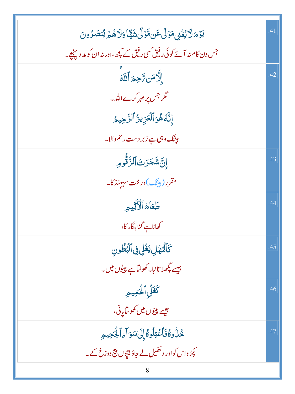| <i>ؾۯٙ؞ٙ</i> ڵٳێۼٞؽ؋ۯڷٙ؏ؘ؈ڡؓۯؘڷٙٞۺؘؿٙٞٵۏڶٳۿؽٙ؉ؿۻڒ۠ۄڹ                | .41 |
|---------------------------------------------------------------------|-----|
| جس دن کام نہ آئے کوئی رفیق کسی رفیق کے کچھ ،اور نہ ان کو مد دیپنچے۔ |     |
| <b>ۣٳ</b> ڵؖۯڡؘڹ؆ؘڿؚ <u>ۄٙ</u> ٲڷڶ <sub>ٞ</sub> ڷٷ                  | .42 |
| مگر جس پر <sub>مہم</sub> کرے اللہ۔                                  |     |
| إِنَّهُ هُوَ ٱلۡعَزِيزُ ٱلرَّحِيمُ                                  |     |
| بیشک وہی ہے زبر دست رحم والا۔                                       |     |
| إِنَّ شَجَرَتَ ٱلزَّقُّومِ                                          | .43 |
| مقرر (بیشک) در خت سههنڈ کا۔                                         |     |
| طَعَاهُ ٱلْأَثِيمِ                                                  | .44 |
| كھاناہے گناہرگار كا،                                                |     |
| كَٱلْهُهَْلِ يَغْلِى فِى ٱلْبُطُونِ                                 | .45 |
| جیسے پگھلا تانبا۔ کھولٹاہے پیپٹوں میں۔                              |     |
| كَعَلِّي أَلْحُمِيمِ                                                | .46 |
| جيسے پي <sub>ٹ</sub> وں ميں ڪولٽا <sub>پل</sub> انی،                |     |
| ػؙۮؙۅػ۠ڧؘٲۼۘ <i>ؾ</i> ڶؗۅػؙٳ۪ڸؘ؆ٮؘۊٳٙۦٳٲۼؙؖڿۑۄؚ                     | .47 |
| یکڑ واس کواور د ھکیل لے جاؤ بیچوں ن <del>ی</del> ج دوزخ کے۔         |     |
| 8                                                                   |     |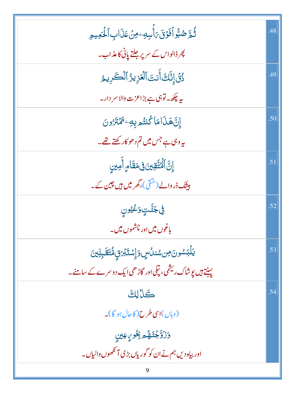| ڷؙٛڋڞ؉ؚۨ۠ۅٱفَوۡقَ؆ٲۜڛڢٶڽۡػۮؘابِٱلۡػڝؚڝؚ                          | .48 |
|------------------------------------------------------------------|-----|
| پھر ڈالواس کے سرپر جلتے پانی کاعذاب۔                             |     |
| ذُنَى إِنَّكَ أَنتَ ٱلْعَزِيزُ ٱلْكَرِيمُ                        | .49 |
| یہ چکھ۔توہی ہے بڑاعزت والا سر دار۔                               |     |
| إِنَّ هَذَامَا كُنتُم بِهِ يَخْتَلَرُونَ                         | .50 |
| یہ و <sub>ن</sub> ی ہے جس میں تم د ھو کار کھتے تھے۔              |     |
| ٳۣۘۜڹ <mark>ؓ۩ڵۘ<sup>ۣڸ</sup>ؾٞۊێؾ؋ۣڡڡٙڷ</mark> ؘٳ <i>ۄؚ</i> ٳۺۣ | .51 |
| بیٹنک ڈروالے (من <sub>قی)</sub> ،گھر میں ہیں چین کے۔             |     |
| <b>ڣۣ۫</b> ؖۼڵٙؾٟۅٙػ۠ؿۄڹۣ                                        | .52 |
| باغوں میں اور چشموں میں۔                                         |     |
| <b>يَلۡبَسُونَ مِن سُندُسٍ وَإِسۡتَبۡرَقٍ مُّتَقَبِلِينَ</b>     | .53 |
| پینتے ہیں یو شاک ریشمی، تپلی اور گاڑھی ایک دوسرے کے سامنے۔       |     |
| كَنَالِكَ                                                        | .54 |
| (وہاں)اسی طرح(کاحال ہو گا)۔                                      |     |
| <b>ۯؘڒٙڐؖڂ۪ڎٙۿ۠</b> ؗ۠۠۠۠ۿڔڲؚٛٶٟ؆ۣڡۣؠڹۣ                          |     |
| اور بیاہ دیں ہم نے ان کو گوریاں بڑی آنکھوں والیاں۔               |     |
|                                                                  |     |